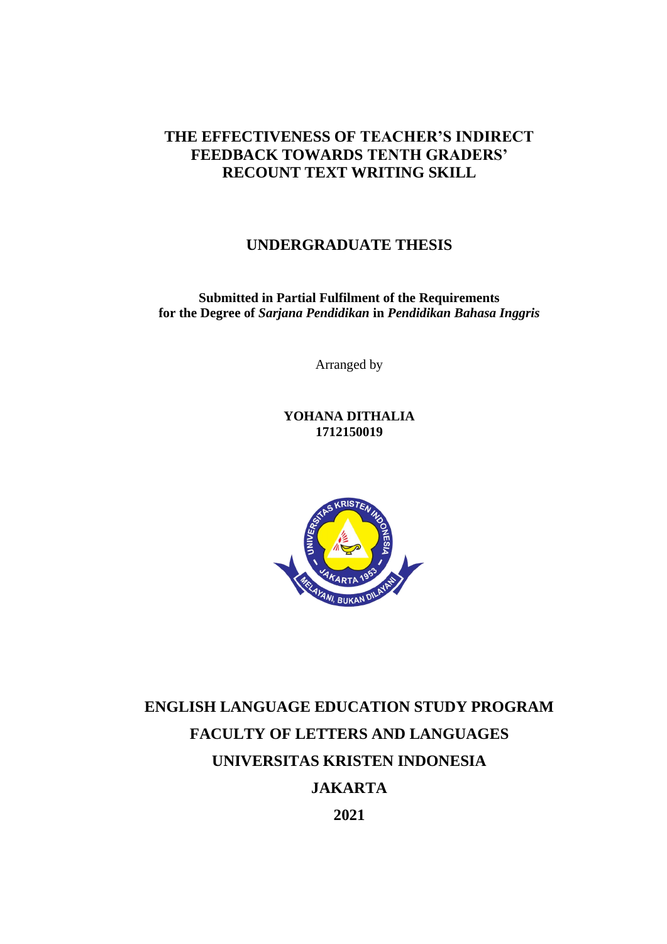### **THE EFFECTIVENESS OF TEACHER'S INDIRECT FEEDBACK TOWARDS TENTH GRADERS' RECOUNT TEXT WRITING SKILL**

### **UNDERGRADUATE THESIS**

**Submitted in Partial Fulfilment of the Requirements for the Degree of** *Sarjana Pendidikan* **in** *Pendidikan Bahasa Inggris*

Arranged by

**YOHANA DITHALIA 1712150019**



# **ENGLISH LANGUAGE EDUCATION STUDY PROGRAM FACULTY OF LETTERS AND LANGUAGES UNIVERSITAS KRISTEN INDONESIA JAKARTA**

**2021**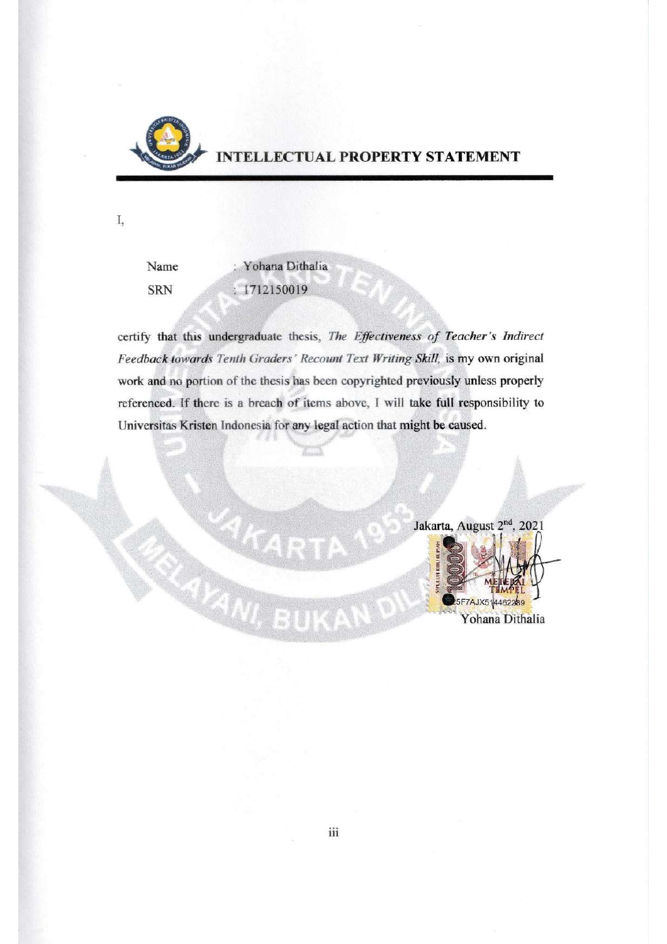

I,

# NTELLECTUAL PROPERTY STATEMENT

Name **SRN** 

: Yohana Dithalia  $: 1712150019$ 

certify that this undergraduate thesis, The Effectiveness of Teacher's Indirect Feedback towards Tenth Graders' Recount Text Writing Skill, is my own original work and no portion of the thesis has been copyrighted previously unless properly referenced. If there is a breach of items above, I will take full responsibility to Universitas Kristen Indonesia for any legal action that might be caused.

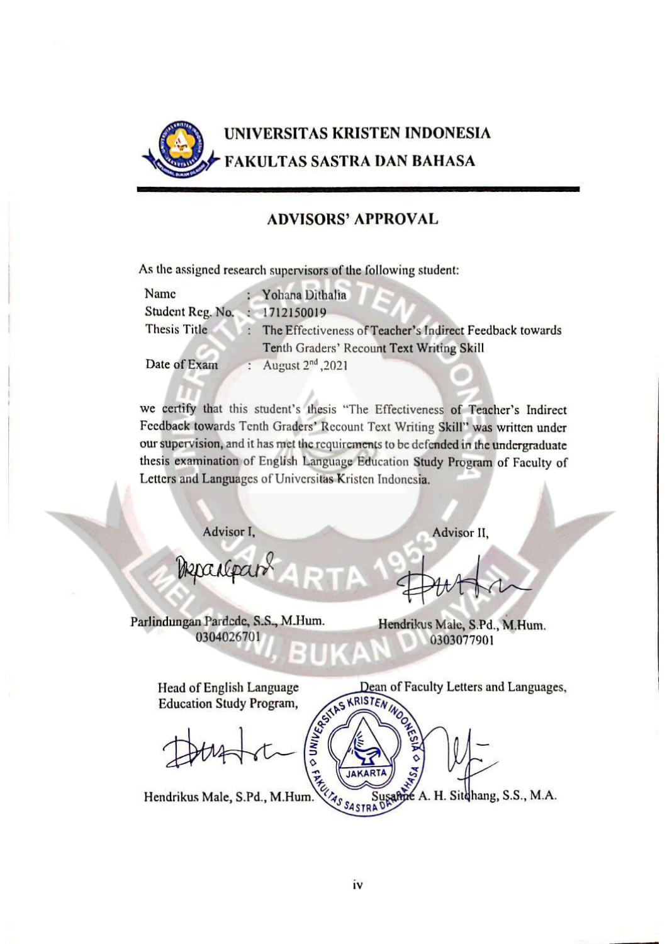

### **ADVISORS' APPROVAL**

As the assigned research supervisors of the following student:

| Name                          | Yohana Dithalia                                          |
|-------------------------------|----------------------------------------------------------|
| Student Reg. No. : 1712150019 |                                                          |
| Thesis Title                  | The Effectiveness of Teacher's Indirect Feedback towards |
|                               | Tenth Graders' Recount Text Writing Skill                |
| Date of Exam                  | August 2 <sup>nd</sup> , 2021                            |

we certify that this student's thesis "The Effectiveness of Teacher's Indirect Feedback towards Tenth Graders' Recount Text Writing Skill" was written under our supervision, and it has met the requirements to be defended in the undergraduate thesis examination of English Language Education Study Program of Faculty of Letters and Languages of Universitas Kristen Indonesia.

Advisor I,

Advisor II,

Departpart

Parlindungan Pardede, S.S., M.Hum. 0304026701

Hendrikus Male, S.Pd., M.Hum. 0303077901

Dean of Faculty Letters and Languages,

Head of English Language **Education Study Program,** 

Dean of **STRUIAS SA** H. Sitchang, S.S., M.A. Hendrikus Male, S.Pd., M.Hum.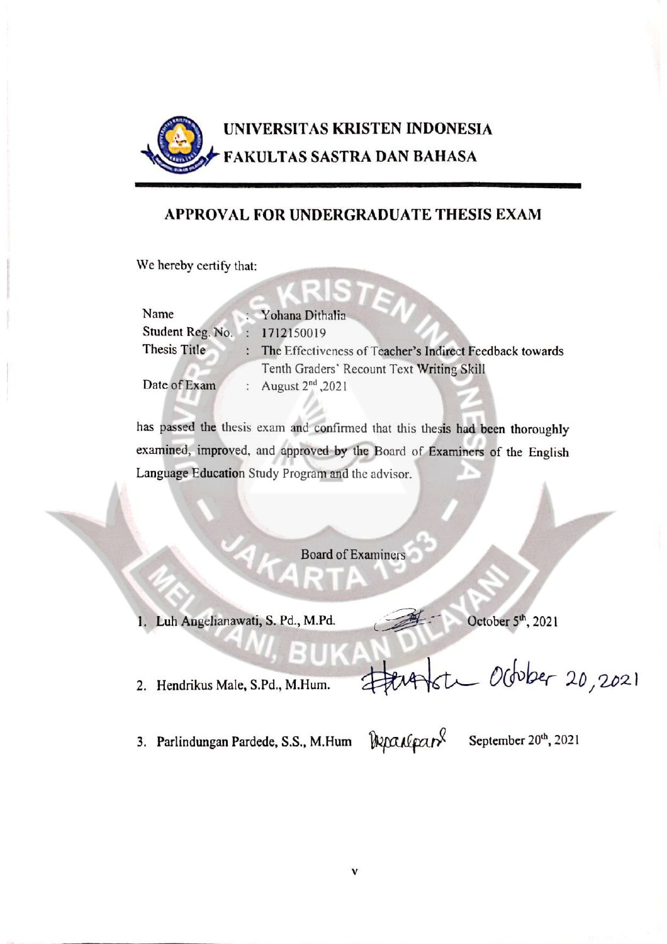

### APPROVAL FOR UNDERGRADUATE THESIS EXAM

We hereby certify that:

| Name                          | : Yohana Dithalia                                                  |
|-------------------------------|--------------------------------------------------------------------|
| Student Reg. No. : 1712150019 |                                                                    |
| Thesis Title                  | The Effectiveness of Teacher's Indirect Feedback towards           |
| Date of Exam                  | Tenth Graders' Recount Text Writing Skill<br>: August $2nd$ , 2021 |
|                               |                                                                    |

has passed the thesis exam and confirmed that this thesis had been thoroughly examined, improved, and approved by the Board of Examiners of the English Language Education Study Program and the advisor.

**Board of Examiners** 

1. Luh Angelianawati, S. Pd., M.Pd.

October 5<sup>th</sup>, 2021

2. Hendrikus Male, S.Pd., M.Hum.

3. Parlindungan Pardede, S.S., M.Hum

Departparl

September 20<sup>th</sup>, 2021

ste October 20,2021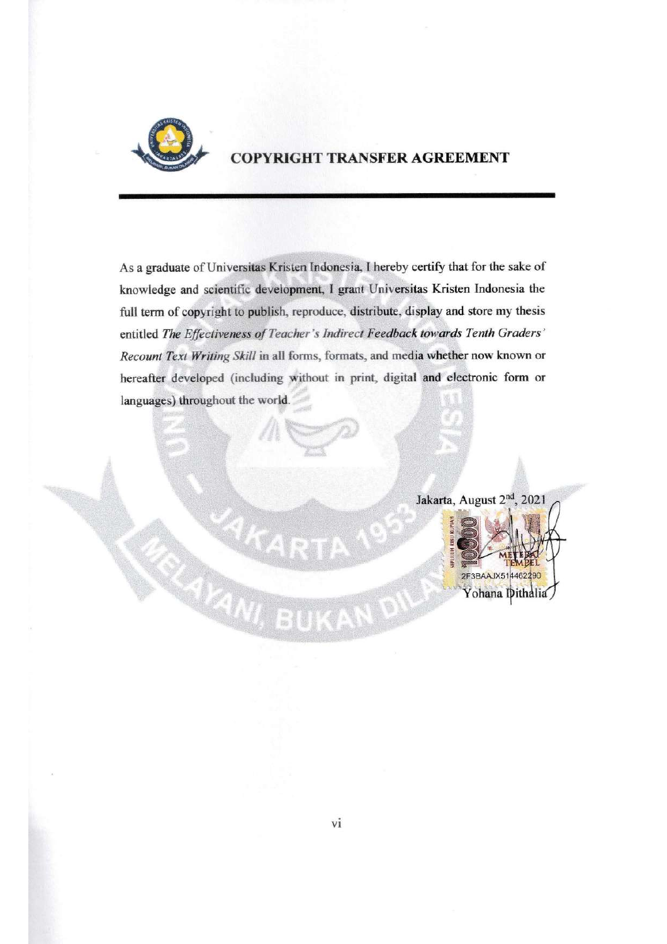

# **COPYRIGHT TRANSFER AGREEMENT**

As a graduate of Universitas Kristen Indonesia, I hereby certify that for the sake of knowledge and scientific development, I grant Universitas Kristen Indonesia the full term of copyright to publish, reproduce, distribute, display and store my thesis entitled The Effectiveness of Teacher's Indirect Feedback towards Tenth Graders' Recount Text Writing Skill in all forms, formats, and media whether now known or hereafter developed (including without in print, digital and electronic form or languages) throughout the world.

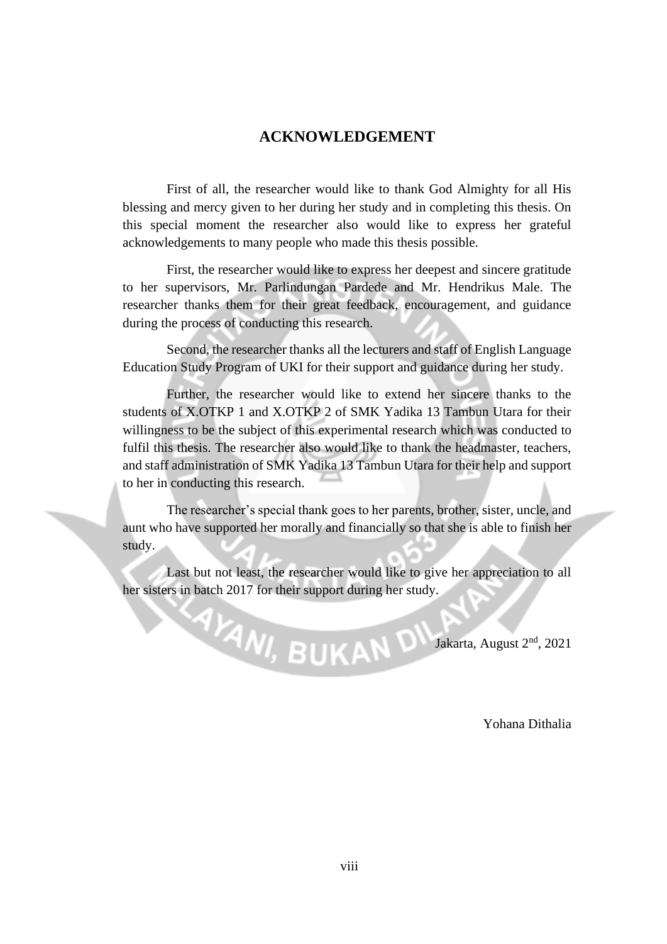#### **ACKNOWLEDGEMENT**

First of all, the researcher would like to thank God Almighty for all His blessing and mercy given to her during her study and in completing this thesis. On this special moment the researcher also would like to express her grateful acknowledgements to many people who made this thesis possible.

First, the researcher would like to express her deepest and sincere gratitude to her supervisors, Mr. Parlindungan Pardede and Mr. Hendrikus Male. The researcher thanks them for their great feedback, encouragement, and guidance during the process of conducting this research.

Second, the researcher thanks all the lecturers and staff of English Language Education Study Program of UKI for their support and guidance during her study.

Further, the researcher would like to extend her sincere thanks to the students of X.OTKP 1 and X.OTKP 2 of SMK Yadika 13 Tambun Utara for their willingness to be the subject of this experimental research which was conducted to fulfil this thesis. The researcher also would like to thank the headmaster, teachers, and staff administration of SMK Yadika 13 Tambun Utara for their help and support to her in conducting this research.

The researcher's special thank goes to her parents, brother, sister, uncle, and aunt who have supported her morally and financially so that she is able to finish her study.

Last but not least, the researcher would like to give her appreciation to all her sisters in batch 2017 for their support during her study.

**AVAND** Jakarta, August 2<sup>nd</sup>, 2021

Yohana Dithalia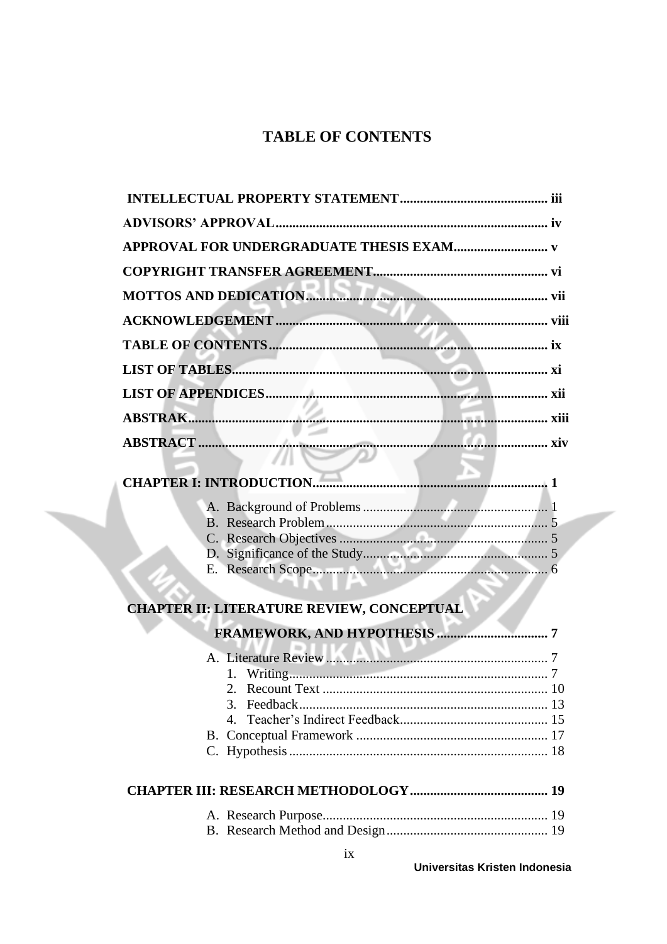# **TABLE OF CONTENTS**

|  | <b>CHAPTER I: INTRODUCTION</b>                   |  |
|--|--------------------------------------------------|--|
|  |                                                  |  |
|  |                                                  |  |
|  |                                                  |  |
|  |                                                  |  |
|  |                                                  |  |
|  | <b>CHAPTER II: LITERATURE REVIEW, CONCEPTUAL</b> |  |
|  |                                                  |  |
|  |                                                  |  |
|  |                                                  |  |
|  |                                                  |  |
|  |                                                  |  |
|  |                                                  |  |
|  |                                                  |  |
|  |                                                  |  |
|  |                                                  |  |
|  |                                                  |  |
|  |                                                  |  |
|  |                                                  |  |

 $\sqrt{2}$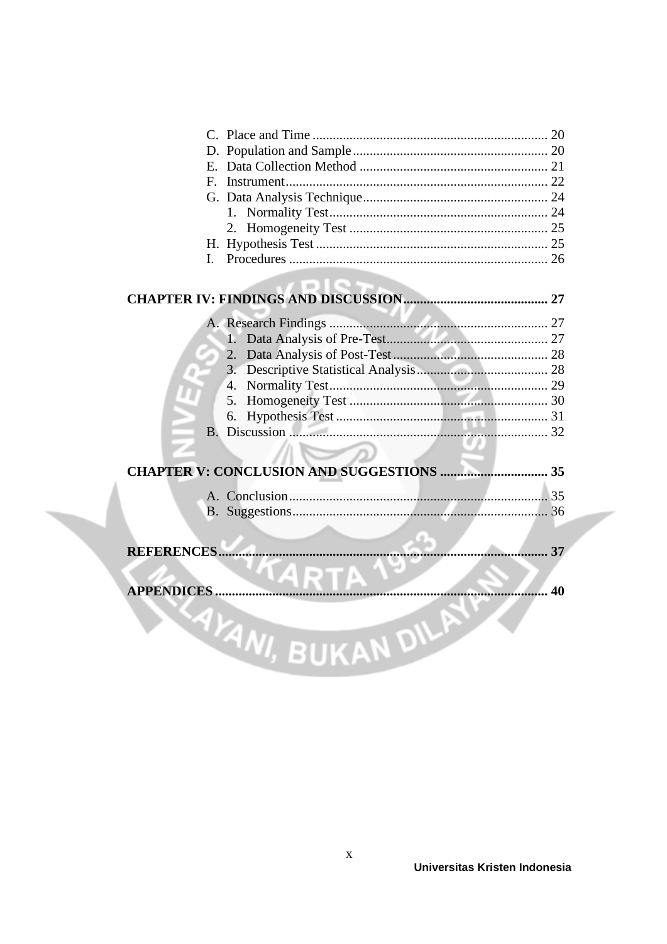| L          |                   |    |
|------------|-------------------|----|
|            |                   |    |
|            |                   |    |
|            |                   |    |
|            |                   |    |
|            |                   |    |
|            |                   |    |
|            |                   |    |
|            |                   |    |
|            |                   |    |
|            |                   |    |
|            |                   |    |
|            |                   |    |
|            |                   |    |
|            |                   | 37 |
|            |                   |    |
| APPENDICES | 40                |    |
|            |                   |    |
|            | YANI, BUKAN DILAY |    |
|            |                   |    |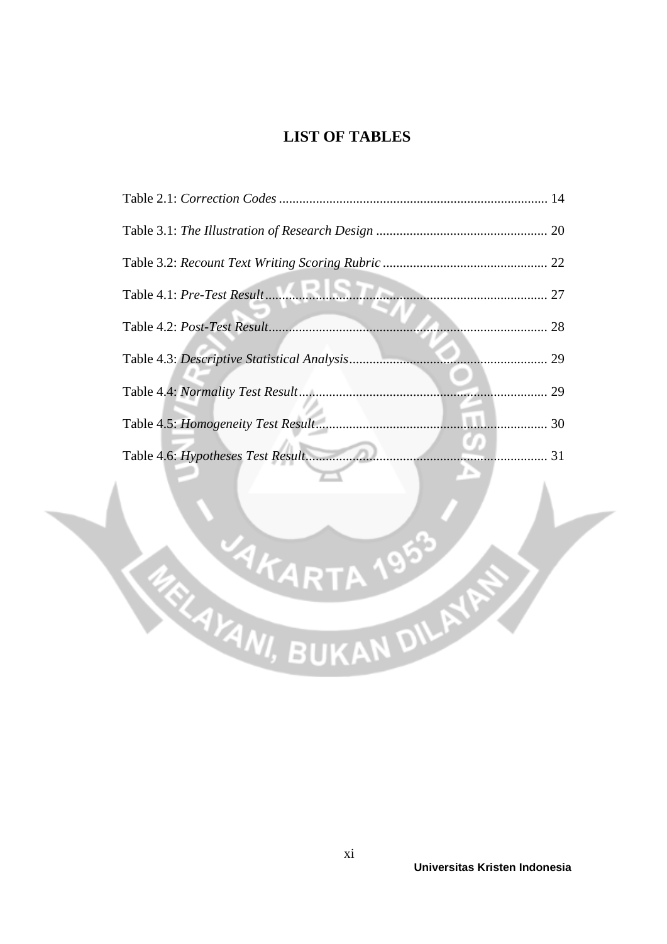# **LIST OF TABLES**

| 29 |
|----|
| 29 |
| 30 |
|    |
|    |

**AKART** 

**RANARTA 1953**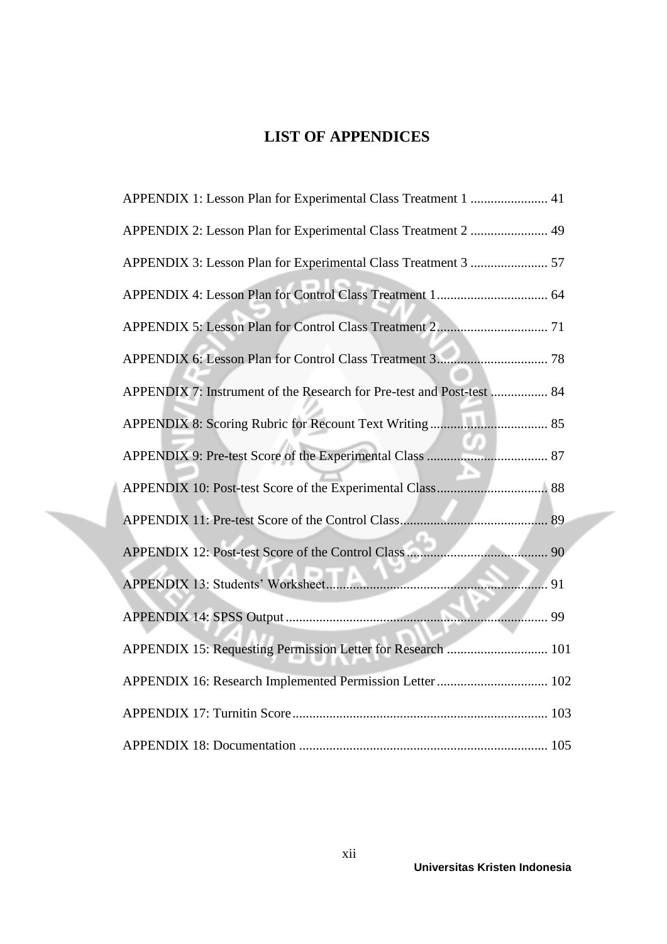# **LIST OF APPENDICES**

| APPENDIX 1: Lesson Plan for Experimental Class Treatment 1  41        |  |
|-----------------------------------------------------------------------|--|
| APPENDIX 2: Lesson Plan for Experimental Class Treatment 2  49        |  |
| APPENDIX 3: Lesson Plan for Experimental Class Treatment 3  57        |  |
|                                                                       |  |
|                                                                       |  |
|                                                                       |  |
| APPENDIX 7: Instrument of the Research for Pre-test and Post-test  84 |  |
|                                                                       |  |
|                                                                       |  |
|                                                                       |  |
|                                                                       |  |
|                                                                       |  |
|                                                                       |  |
|                                                                       |  |
| APPENDIX 15: Requesting Permission Letter for Research  101           |  |
|                                                                       |  |
|                                                                       |  |
|                                                                       |  |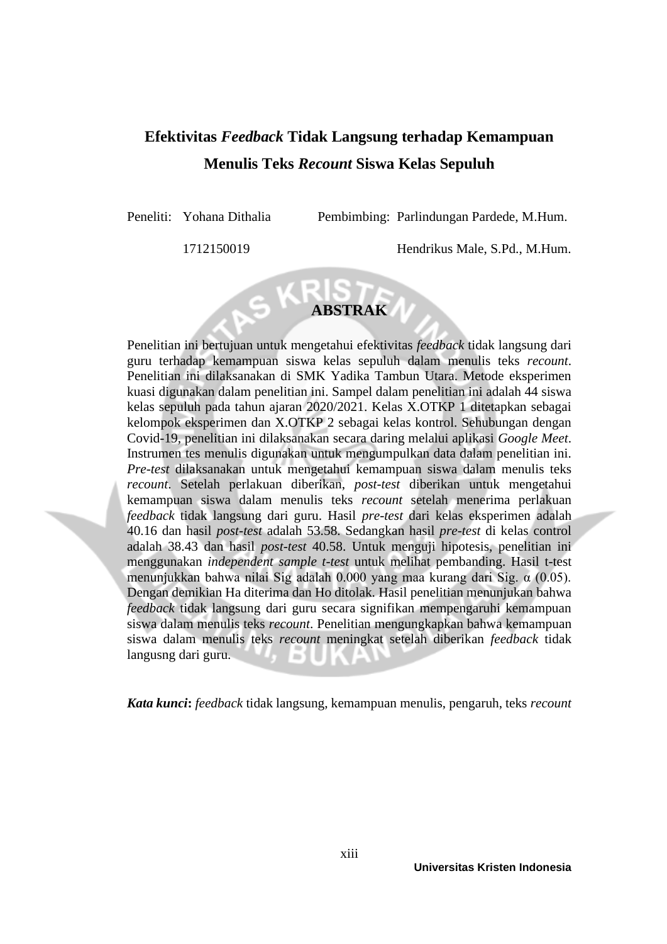# **Efektivitas** *Feedback* **Tidak Langsung terhadap Kemampuan Menulis Teks** *Recount* **Siswa Kelas Sepuluh**

Peneliti: Yohana Dithalia Pembimbing: Parlindungan Pardede, M.Hum.

1712150019 Hendrikus Male, S.Pd., M.Hum.



Penelitian ini bertujuan untuk mengetahui efektivitas *feedback* tidak langsung dari guru terhadap kemampuan siswa kelas sepuluh dalam menulis teks *recount*. Penelitian ini dilaksanakan di SMK Yadika Tambun Utara. Metode eksperimen kuasi digunakan dalam penelitian ini. Sampel dalam penelitian ini adalah 44 siswa kelas sepuluh pada tahun ajaran 2020/2021. Kelas X.OTKP 1 ditetapkan sebagai kelompok eksperimen dan X.OTKP 2 sebagai kelas kontrol. Sehubungan dengan Covid-19, penelitian ini dilaksanakan secara daring melalui aplikasi *Google Meet*. Instrumen tes menulis digunakan untuk mengumpulkan data dalam penelitian ini. *Pre-test* dilaksanakan untuk mengetahui kemampuan siswa dalam menulis teks *recount*. Setelah perlakuan diberikan, *post-test* diberikan untuk mengetahui kemampuan siswa dalam menulis teks *recount* setelah menerima perlakuan *feedback* tidak langsung dari guru. Hasil *pre-test* dari kelas eksperimen adalah 40.16 dan hasil *post-test* adalah 53.58. Sedangkan hasil *pre-test* di kelas control adalah 38.43 dan hasil *post-test* 40.58. Untuk menguji hipotesis, penelitian ini menggunakan *independent sample t-test* untuk melihat pembanding. Hasil t-test menunjukkan bahwa nilai Sig adalah 0.000 yang maa kurang dari Sig. α (0.05). Dengan demikian Ha diterima dan Ho ditolak. Hasil penelitian menunjukan bahwa *feedback* tidak langsung dari guru secara signifikan mempengaruhi kemampuan siswa dalam menulis teks *recount*. Penelitian mengungkapkan bahwa kemampuan siswa dalam menulis teks *recount* meningkat setelah diberikan *feedback* tidak langusng dari guru.

*Kata kunci***:** *feedback* tidak langsung, kemampuan menulis, pengaruh, teks *recount*